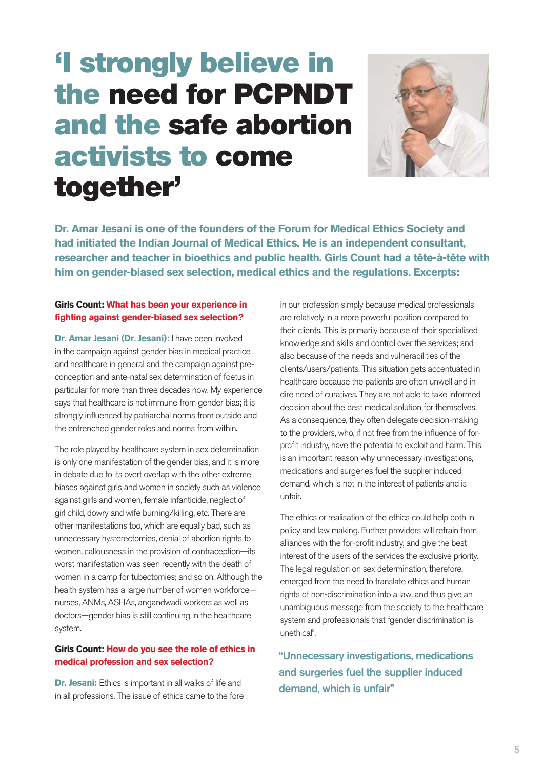# **'I strongly believe in the need for PCPNDT and the safe abortion activists to come together'**



**Dr. Amar Jesani is one of the founders of the Forum for Medical Ethics Society and had initiated the Indian Journal of Medical Ethics. He is an independent consultant, researcher and teacher in bioethics and public health. Girls Count had a tête-à-tête with him on gender-biased sex selection, medical ethics and the regulations. Excerpts:**

#### **Girls Count: What has been your experience in fighting against gender-biased sex selection?**

**Dr. Amar Jesani (Dr. Jesani):** I have been involved in the campaign against gender bias in medical practice and healthcare in general and the campaign against preconception and ante-natal sex determination of foetus in particular for more than three decades now. My experience says that healthcare is not immune from gender bias; it is strongly influenced by patriarchal norms from outside and the entrenched gender roles and norms from within.

The role played by healthcare system in sex determination is only one manifestation of the gender bias, and it is more in debate due to its overt overlap with the other extreme biases against girls and women in society such as violence against girls and women, female infanticide, neglect of girl child, dowry and wife burning/killing, etc. There are other manifestations too, which are equally bad, such as unnecessary hysterectomies, denial of abortion rights to women, callousness in the provision of contraception—its worst manifestation was seen recently with the death of women in a camp for tubectomies; and so on. Although the health system has a large number of women workforce nurses, ANMs, ASHAs, angandwadi workers as well as doctors—gender bias is still continuing in the healthcare system.

### **Girls Count: How do you see the role of ethics in medical profession and sex selection?**

**Dr. Jesani:** Ethics is important in all walks of life and in all professions. The issue of ethics came to the fore

in our profession simply because medical professionals are relatively in a more powerful position compared to their clients. This is primarily because of their specialised knowledge and skills and control over the services; and also because of the needs and vulnerabilities of the clients/users/patients. This situation gets accentuated in healthcare because the patients are often unwell and in dire need of curatives. They are not able to take informed decision about the best medical solution for themselves. As a consequence, they often delegate decision-making to the providers, who, if not free from the influence of forprofit industry, have the potential to exploit and harm. This is an important reason why unnecessary investigations, medications and surgeries fuel the supplier induced demand, which is not in the interest of patients and is unfair.

The ethics or realisation of the ethics could help both in policy and law making. Further providers will refrain from alliances with the for-profit industry, and give the best interest of the users of the services the exclusive priority. The legal regulation on sex determination, therefore, emerged from the need to translate ethics and human rights of non-discrimination into a law, and thus give an unambiguous message from the society to the healthcare system and professionals that "gender discrimination is unethical".

"Unnecessary investigations, medications and surgeries fuel the supplier induced demand, which is unfair"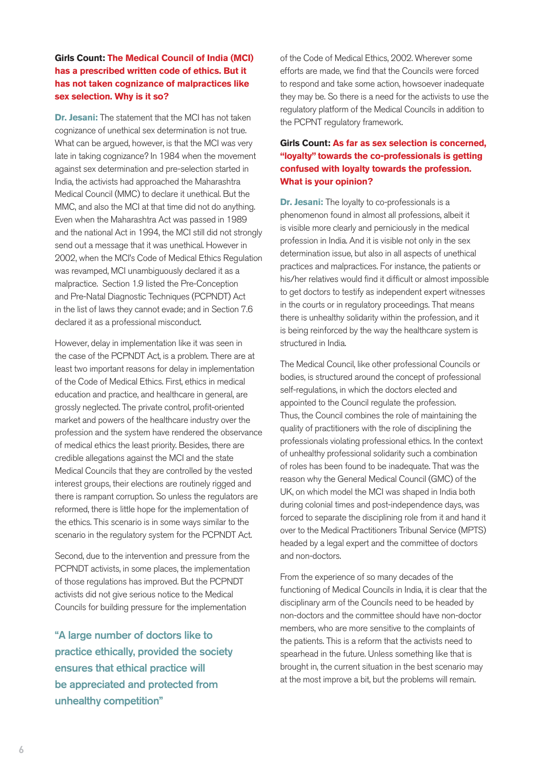# **Girls Count: The Medical Council of India (MCI) has a prescribed written code of ethics. But it has not taken cognizance of malpractices like sex selection. Why is it so?**

**Dr. Jesani:** The statement that the MCI has not taken cognizance of unethical sex determination is not true. What can be argued, however, is that the MCI was very late in taking cognizance? In 1984 when the movement against sex determination and pre-selection started in India, the activists had approached the Maharashtra Medical Council (MMC) to declare it unethical. But the MMC, and also the MCI at that time did not do anything. Even when the Maharashtra Act was passed in 1989 and the national Act in 1994, the MCI still did not strongly send out a message that it was unethical. However in 2002, when the MCI's Code of Medical Ethics Regulation was revamped, MCI unambiguously declared it as a malpractice. Section 1.9 listed the Pre-Conception and Pre-Natal Diagnostic Techniques (PCPNDT) Act in the list of laws they cannot evade; and in Section 7.6 declared it as a professional misconduct.

However, delay in implementation like it was seen in the case of the PCPNDT Act, is a problem. There are at least two important reasons for delay in implementation of the Code of Medical Ethics. First, ethics in medical education and practice, and healthcare in general, are grossly neglected. The private control, profit-oriented market and powers of the healthcare industry over the profession and the system have rendered the observance of medical ethics the least priority. Besides, there are credible allegations against the MCI and the state Medical Councils that they are controlled by the vested interest groups, their elections are routinely rigged and there is rampant corruption. So unless the regulators are reformed, there is little hope for the implementation of the ethics. This scenario is in some ways similar to the scenario in the regulatory system for the PCPNDT Act.

Second, due to the intervention and pressure from the PCPNDT activists, in some places, the implementation of those regulations has improved. But the PCPNDT activists did not give serious notice to the Medical Councils for building pressure for the implementation

"A large number of doctors like to practice ethically, provided the society ensures that ethical practice will be appreciated and protected from unhealthy competition"

of the Code of Medical Ethics, 2002. Wherever some efforts are made, we find that the Councils were forced to respond and take some action, howsoever inadequate they may be. So there is a need for the activists to use the regulatory platform of the Medical Councils in addition to the PCPNT regulatory framework.

# **Girls Count: As far as sex selection is concerned, "loyalty" towards the co-professionals is getting confused with loyalty towards the profession. What is your opinion?**

**Dr. Jesani:** The loyalty to co-professionals is a phenomenon found in almost all professions, albeit it is visible more clearly and perniciously in the medical profession in India. And it is visible not only in the sex determination issue, but also in all aspects of unethical practices and malpractices. For instance, the patients or his/her relatives would find it difficult or almost impossible to get doctors to testify as independent expert witnesses in the courts or in regulatory proceedings. That means there is unhealthy solidarity within the profession, and it is being reinforced by the way the healthcare system is structured in India.

The Medical Council, like other professional Councils or bodies, is structured around the concept of professional self-regulations, in which the doctors elected and appointed to the Council regulate the profession. Thus, the Council combines the role of maintaining the quality of practitioners with the role of disciplining the professionals violating professional ethics. In the context of unhealthy professional solidarity such a combination of roles has been found to be inadequate. That was the reason why the General Medical Council (GMC) of the UK, on which model the MCI was shaped in India both during colonial times and post-independence days, was forced to separate the disciplining role from it and hand it over to the Medical Practitioners Tribunal Service (MPTS) headed by a legal expert and the committee of doctors and non-doctors.

From the experience of so many decades of the functioning of Medical Councils in India, it is clear that the disciplinary arm of the Councils need to be headed by non-doctors and the committee should have non-doctor members, who are more sensitive to the complaints of the patients. This is a reform that the activists need to spearhead in the future. Unless something like that is brought in, the current situation in the best scenario may at the most improve a bit, but the problems will remain.